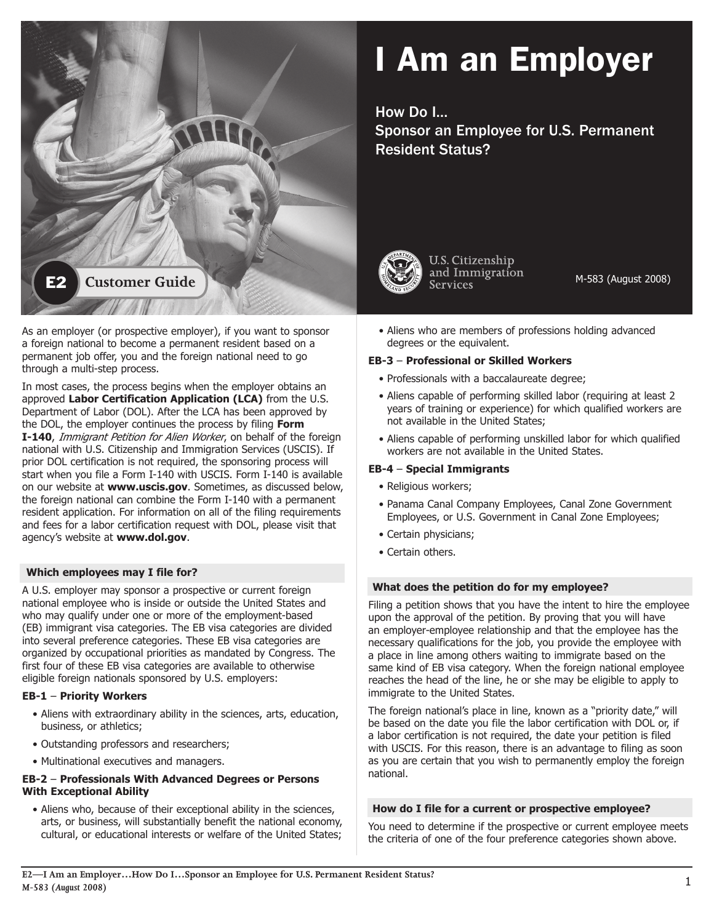

#### As an employer (or prospective employer), if you want to sponsor a foreign national to become a permanent resident based on a permanent job offer, you and the foreign national need to go through a multi-step process.

In most cases, the process begins when the employer obtains an approved Labor Certification Application (LCA) from the U.S. Department of Labor (DOL). After the LCA has been approved by the DOL, the employer continues the process by filing **Form I-140**, *Immigrant Petition for Alien Worker*, on behalf of the foreign national with U.S. Citizenship and Immigration Services (USCIS). If prior DOL certification is not required, the sponsoring process will start when you file a Form I-140 with USCIS. Form I-140 is available on our website at **www.uscis.gov**. Sometimes, as discussed below, the foreign national can combine the Form I-140 with a permanent resident application. For information on all of the filing requirements and fees for a labor certification request with DOL, please visit that agency's website at **www.dol.gov.** 

# **Which employees may I file for?**

A U.S. employer may sponsor a prospective or current foreign national employee who is inside or outside the United States and who may qualify under one or more of the employment-based (EB) immigrant visa categories. The EB visa categories are divided into several preference categories. These EB visa categories are organized by occupational priorities as mandated by Congress. The first four of these EB visa categories are available to otherwise eligible foreign nationals sponsored by U.S. employers:

#### **EB-1** – **Priority Workers**

- Aliens with extraordinary ability in the sciences, arts, education, business, or athletics;
- Outstanding professors and researchers;
- Multinational executives and managers.

#### **EB-2** – **Professionals With Advanced Degrees or Persons With Exceptional Ability**

• Aliens who, because of their exceptional ability in the sciences, arts, or business, will substantially benefit the national economy, cultural, or educational interests or welfare of the United States;

# I Am an Employer

How Do I… Sponsor an Employee for U.S. Permanent Resident Status?



**U.S. Citizenship** and Immigration **Services** 

M-583 (August 2008)

• Aliens who are members of professions holding advanced degrees or the equivalent.

#### **EB-3** – **Professional or Skilled Workers**

- Professionals with a baccalaureate degree;
- Aliens capable of performing skilled labor (requiring at least 2 years of training or experience) for which qualified workers are not available in the United States;
- Aliens capable of performing unskilled labor for which qualified workers are not available in the United States.

# **EB-4** – **Special Immigrants**

- Religious workers;
- Panama Canal Company Employees, Canal Zone Government Employees, or U.S. Government in Canal Zone Employees;
- Certain physicians;
- Certain others.

#### **What does the petition do for my employee?**

Filing a petition shows that you have the intent to hire the employee upon the approval of the petition. By proving that you will have an employer-employee relationship and that the employee has the necessary qualifications for the job, you provide the employee with a place in line among others waiting to immigrate based on the same kind of EB visa category. When the foreign national employee reaches the head of the line, he or she may be eligible to apply to immigrate to the United States.

The foreign national's place in line, known as a "priority date," will be based on the date you file the labor certification with DOL or, if a labor certification is not required, the date your petition is filed with USCIS. For this reason, there is an advantage to filing as soon as you are certain that you wish to permanently employ the foreign national. 

#### **How do I file for a current or prospective employee?**

You need to determine if the prospective or current employee meets the criteria of one of the four preference categories shown above.